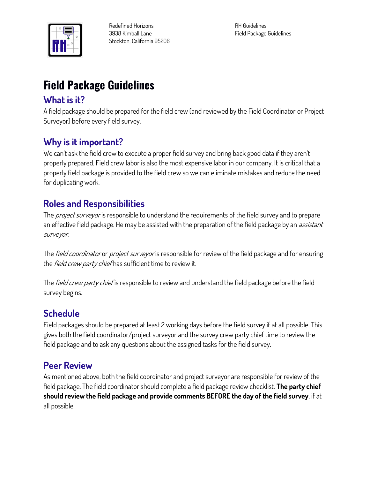

**RH Guidelines Field Package Guidelines**

# **Field Package Guidelines**

# **What is it?**

**A field package should be prepared for the field crew (and reviewed by the Field Coordinator or Project Surveyor) before every field survey.**

# **Why is it important?**

**We can't ask the field crew to execute a proper field survey and bring back good data if they aren't properly prepared. Field crew labor is also the most expensive labor in our company. It is critical that a properly field package is provided to the field crew so we can eliminate mistakes and reduce the need for duplicating work.**

# **Roles and Responsibilities**

**The project surveyor is responsible to understand the requirements of the field survey and to prepare an effective field package. He may be assisted with the preparation of the field package by an assistant surveyor.**

**The field coordinator or project surveyor is responsible for review of the field package and for ensuring the field crew party chief has sufficient time to review it.**

**The field crew party chief is responsible to review and understand the field package before the field survey begins.**

# **Schedule**

**Field packages should be prepared at least 2 working days before the field survey if at all possible. This gives both the field coordinator/project surveyor and the survey crew party chief time to review the field package and to ask any questions about the assigned tasks for the field survey.**

# **Peer Review**

**As mentioned above, both the field coordinator and project surveyor are responsible for review of the field package. The field coordinator should complete a field package review checklist. The party chief should review the field package and provide comments BEFORE the day of the field survey, if at all possible.**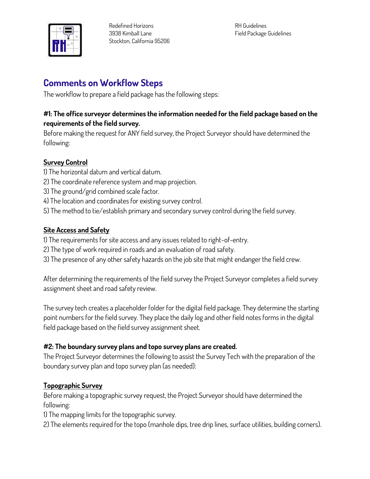

**RH Guidelines Field Package Guidelines**

# **Comments on Workflow Steps**

**The workflow to prepare a field package has the following steps:**

### **#1: The office surveyor determines the information needed for the field package based on the requirements of the field survey.**

**Before making the request for ANY field survey, the Project Surveyor should have determined the following:**

## **Survey Control**

- **1) The horizontal datum and vertical datum.**
- **2) The coordinate reference system and map projection.**
- **3) The ground/grid combined scale factor.**
- **4) The location and coordinates for existing survey control.**
- **5) The method to tie/establish primary and secondary survey control during the field survey.**

### **Site Access and Safety**

- **1) The requirements for site access and any issues related to right-of-entry.**
- **2) The type of work required in roads and an evaluation of road safety.**
- **3) The presence of any other safety hazards on the job site that might endanger the field crew.**

**After determining the requirements of the field survey the Project Surveyor completes a field survey assignment sheet and road safety review.**

**The survey tech creates a placeholder folder for the digital field package. They determine the starting point numbers for the field survey. They place the daily log and other field notes forms in the digital field package based on the field survey assignment sheet.**

### **#2: The boundary survey plans and topo survey plans are created.**

**The Project Surveyor determines the following to assist the Survey Tech with the preparation of the boundary survey plan and topo survey plan (as needed):**

### **Topographic Survey**

**Before making a topographic survey request, the Project Surveyor should have determined the following:**

**1) The mapping limits for the topographic survey.**

**2) The elements required for the topo (manhole dips, tree drip lines, surface utilities, building corners).**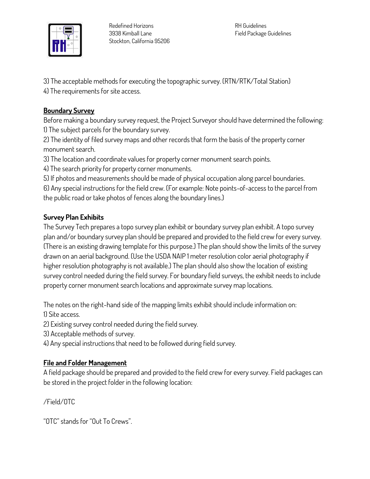

**RH Guidelines Field Package Guidelines**

**3) The acceptable methods for executing the topographic survey. (RTN/RTK/Total Station) 4) The requirements for site access.**

#### **Boundary Survey**

**Before making a boundary survey request, the Project Surveyor should have determined the following: 1) The subject parcels for the boundary survey.**

**2) The identity of filed survey maps and other records that form the basis of the property corner monument search.**

**3) The location and coordinate values for property corner monument search points.**

**4) The search priority for property corner monuments.**

**5) If photos and measurements should be made of physical occupation along parcel boundaries.**

**6) Any special instructions for the field crew. (For example: Note points-of-access to the parcel from the public road or take photos of fences along the boundary lines.)**

### **Survey Plan Exhibits**

**The Survey Tech prepares a topo survey plan exhibit or boundary survey plan exhibit. A topo survey plan and/or boundary survey plan should be prepared and provided to the field crew for every survey. (There is an existing drawing template for this purpose.) The plan should show the limits of the survey drawn on an aerial background. (Use the USDA NAIP 1 meter resolution color aerial photography if higher resolution photography is not available.) The plan should also show the location of existing survey control needed during the field survey. For boundary field surveys, the exhibit needs to include property corner monument search locations and approximate survey map locations.**

**The notes on the right-hand side of the mapping limits exhibit should include information on: 1) Site access.**

**2) Existing survey control needed during the field survey.**

**3) Acceptable methods of survey.**

**4) Any special instructions that need to be followed during field survey.**

### **File and Folder Management**

**A field package should be prepared and provided to the field crew for every survey. Field packages can be stored in the project folder in the following location:**

**/Field/OTC**

**"OTC" stands for "Out To Crews".**